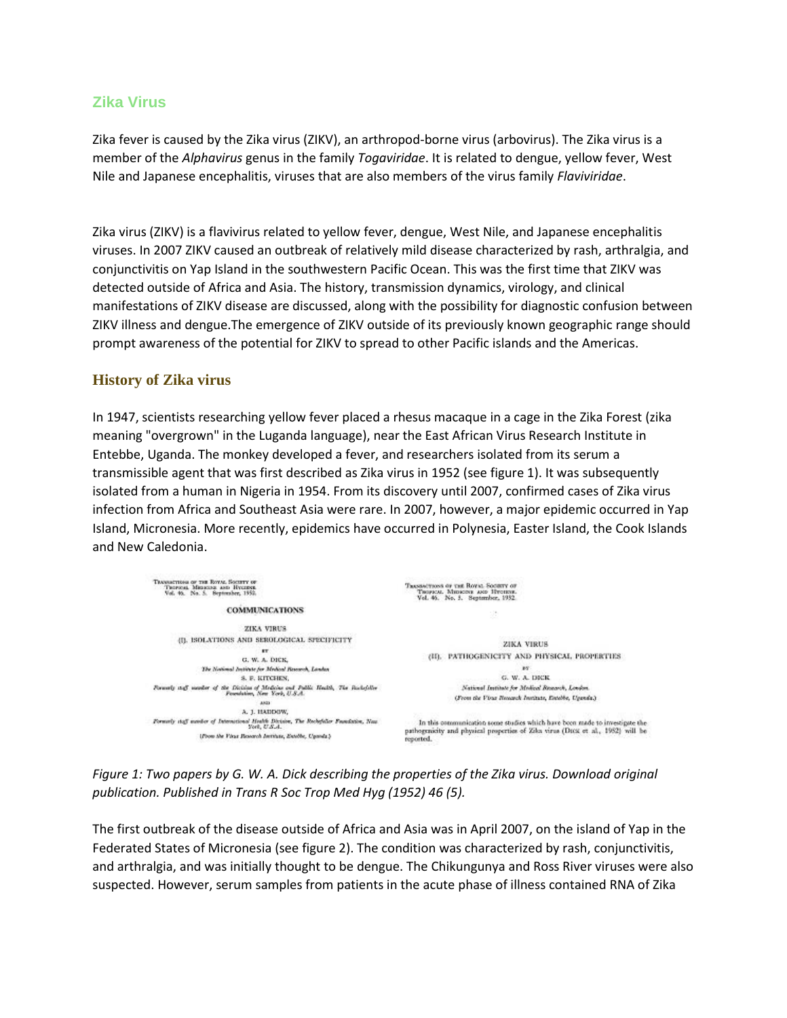#### **[Zika Virus](http://www.zikavirusnet.com/chikungunya-virus-sp-21408.html)**

Zika fever is caused by the Zika virus (ZIKV), an arthropod-borne virus (arbovirus). The Zika virus is a member of the *Alphavirus* genus in the family *Togaviridae*. It is related to dengue, yellow fever, West Nile and Japanese encephalitis, viruses that are also members of the virus family *Flaviviridae*.

Zika virus (ZIKV) is a flavivirus related to yellow fever, dengue, West Nile, and Japanese encephalitis viruses. In 2007 ZIKV caused an outbreak of relatively mild disease characterized by rash, arthralgia, and conjunctivitis on Yap Island in the southwestern Pacific Ocean. This was the first time that ZIKV was detected outside of Africa and Asia. The history, transmission dynamics, virology, and clinical manifestations of ZIKV disease are discussed, along with the possibility for diagnostic confusion between ZIKV illness and dengue.The emergence of ZIKV outside of its previously known geographic range should prompt awareness of the potential for ZIKV to spread to other Pacific islands and the Americas.

#### **[History of Zika virus](http://www.zikavirusnet.com/history-of-zika/9-history-of-zika-virus.html)**

In 1947, scientists researching yellow fever placed a rhesus macaque in a cage in the Zika Forest (zika meaning "overgrown" in the Luganda language), near the East African Virus Research Institute in Entebbe, Uganda. The monkey developed a fever, and researchers isolated from its serum a transmissible agent that was first described as Zika virus in 1952 (see figure 1). It was subsequently isolated from a human in Nigeria in 1954. From its discovery until 2007, confirmed cases of Zika virus infection from Africa and Southeast Asia were rare. In 2007, however, a major epidemic occurred in Yap Island, Micronesia. More recently, epidemics have occurred in Polynesia, Easter Island, the Cook Islands and New Caledonia.



*Figure 1: Two papers by G. W. A. Dick describing the properties of the Zika virus. Download original publication. Published in Trans R Soc Trop Med Hyg (1952) 46 (5).*

The first outbreak of the disease outside of Africa and Asia was in April 2007, on the island of Yap in the Federated States of Micronesia (see figure 2). The condition was characterized by rash, conjunctivitis, and arthralgia, and was initially thought to be dengue. The Chikungunya and Ross River viruses were also suspected. However, serum samples from patients in the acute phase of illness contained RNA of Zika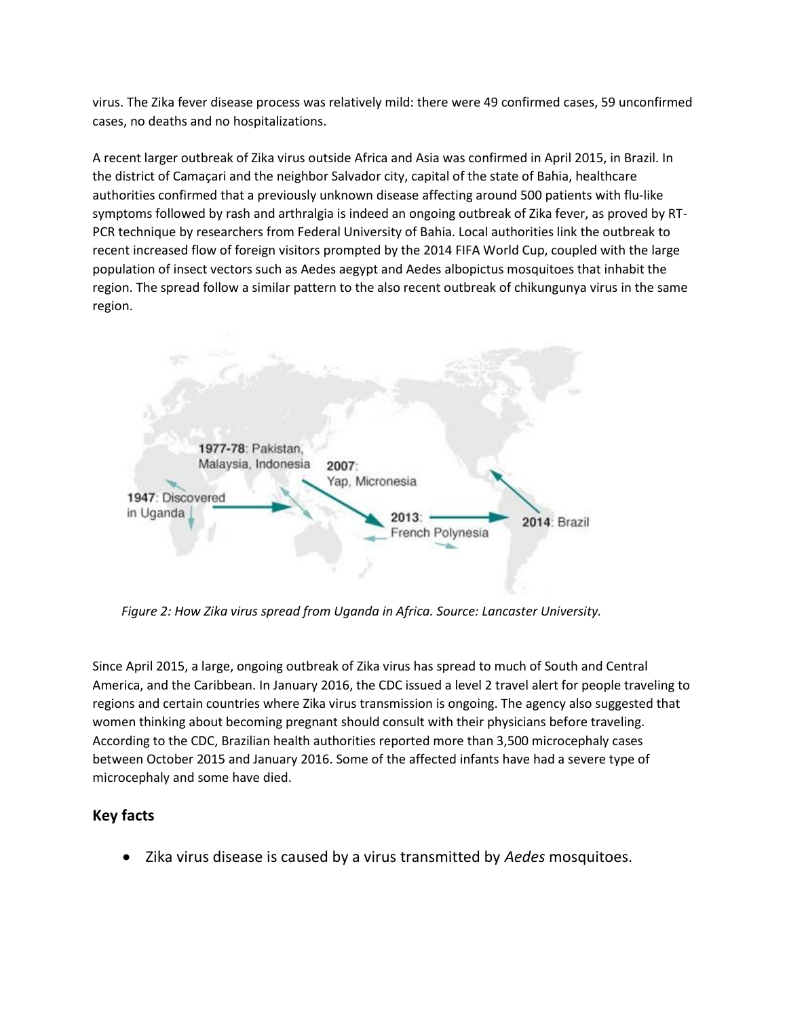virus. The Zika fever disease process was relatively mild: there were 49 confirmed cases, 59 unconfirmed cases, no deaths and no hospitalizations.

A recent larger outbreak of Zika virus outside Africa and Asia was confirmed in April 2015, in Brazil. In the district of Camaçari and the neighbor Salvador city, capital of the state of Bahia, healthcare authorities confirmed that a previously unknown disease affecting around 500 patients with flu-like symptoms followed by rash and arthralgia is indeed an ongoing outbreak of Zika fever, as proved by RT-PCR technique by researchers from Federal University of Bahia. Local authorities link the outbreak to recent increased flow of foreign visitors prompted by the 2014 FIFA World Cup, coupled with the large population of insect vectors such as Aedes aegypt and Aedes albopictus mosquitoes that inhabit the region. The spread follow a similar pattern to the also recent outbreak of chikungunya virus in the same region.



 *Figure 2: How Zika virus spread from Uganda in Africa. Source: Lancaster University.*

Since April 2015, a large, ongoing outbreak of Zika virus has spread to much of South and Central America, and the Caribbean. In January 2016, the CDC issued a level 2 travel alert for people traveling to regions and certain countries where Zika virus transmission is ongoing. The agency also suggested that women thinking about becoming pregnant should consult with their physicians before traveling. According to the CDC, Brazilian health authorities reported more than 3,500 microcephaly cases between October 2015 and January 2016. Some of the affected infants have had a severe type of microcephaly and some have died.

#### **Key facts**

Zika virus disease is caused by a virus transmitted by *Aedes* mosquitoes.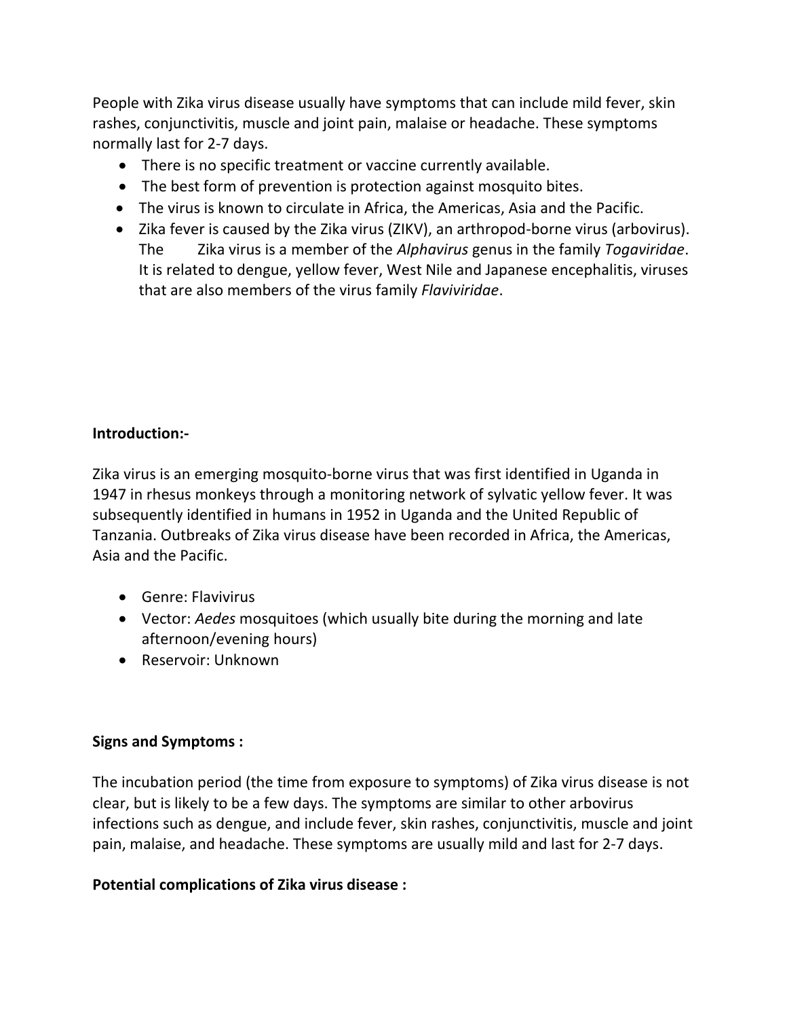People with Zika virus disease usually have symptoms that can include mild fever, skin rashes, conjunctivitis, muscle and joint pain, malaise or headache. These symptoms normally last for 2-7 days.

- There is no specific treatment or vaccine currently available.
- The best form of prevention is protection against mosquito bites.
- The virus is known to circulate in Africa, the Americas, Asia and the Pacific.
- Zika fever is caused by the Zika virus (ZIKV), an arthropod-borne virus (arbovirus). The Zika virus is a member of the *Alphavirus* genus in the family *Togaviridae*. It is related to dengue, yellow fever, West Nile and Japanese encephalitis, viruses that are also members of the virus family *Flaviviridae*.

#### **Introduction:-**

Zika virus is an emerging mosquito-borne virus that was first identified in Uganda in 1947 in rhesus monkeys through a monitoring network of sylvatic yellow fever. It was subsequently identified in humans in 1952 in Uganda and the United Republic of Tanzania. Outbreaks of Zika virus disease have been recorded in Africa, the Americas, Asia and the Pacific.

- Genre: Flavivirus
- Vector: *Aedes* mosquitoes (which usually bite during the morning and late afternoon/evening hours)
- Reservoir: Unknown

## **Signs and Symptoms :**

The incubation period (the time from exposure to symptoms) of Zika virus disease is not clear, but is likely to be a few days. The symptoms are similar to other arbovirus infections such as dengue, and include fever, skin rashes, conjunctivitis, muscle and joint pain, malaise, and headache. These symptoms are usually mild and last for 2-7 days.

## **Potential complications of Zika virus disease :**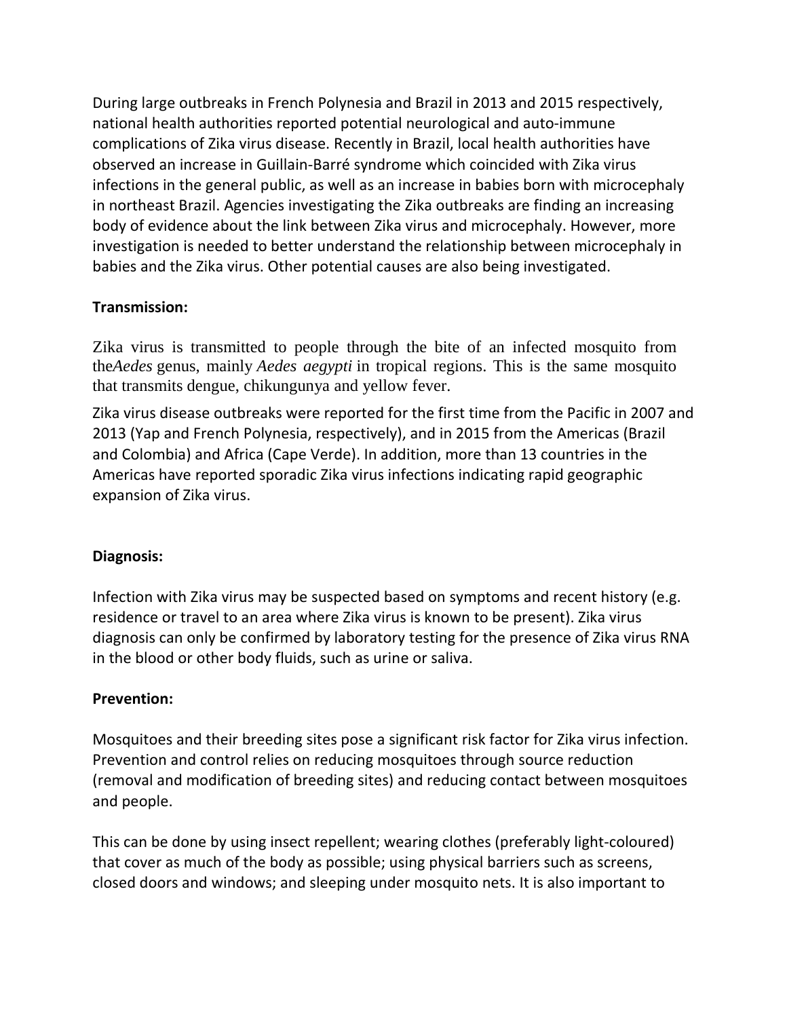During large outbreaks in French Polynesia and Brazil in 2013 and 2015 respectively, national health authorities reported potential neurological and auto-immune complications of Zika virus disease. Recently in Brazil, local health authorities have observed an increase in Guillain-Barré syndrome which coincided with Zika virus infections in the general public, as well as an increase in babies born with microcephaly in northeast Brazil. Agencies investigating the Zika outbreaks are finding an increasing body of evidence about the link between Zika virus and microcephaly. However, more investigation is needed to better understand the relationship between microcephaly in babies and the Zika virus. Other potential causes are also being investigated.

## **Transmission:**

Zika virus is transmitted to people through the bite of an infected mosquito from the*Aedes* genus, mainly *Aedes aegypti* in tropical regions. This is the same mosquito that transmits dengue, chikungunya and yellow fever.

Zika virus disease outbreaks were reported for the first time from the Pacific in 2007 and 2013 (Yap and French Polynesia, respectively), and in 2015 from the Americas (Brazil and Colombia) and Africa (Cape Verde). In addition, more than 13 countries in the Americas have reported sporadic Zika virus infections indicating rapid geographic expansion of Zika virus.

## **Diagnosis:**

Infection with Zika virus may be suspected based on symptoms and recent history (e.g. residence or travel to an area where Zika virus is known to be present). Zika virus diagnosis can only be confirmed by laboratory testing for the presence of Zika virus RNA in the blood or other body fluids, such as urine or saliva.

# **Prevention:**

Mosquitoes and their breeding sites pose a significant risk factor for Zika virus infection. Prevention and control relies on reducing mosquitoes through source reduction (removal and modification of breeding sites) and reducing contact between mosquitoes and people.

This can be done by using insect repellent; wearing clothes (preferably light-coloured) that cover as much of the body as possible; using physical barriers such as screens, closed doors and windows; and sleeping under mosquito nets. It is also important to